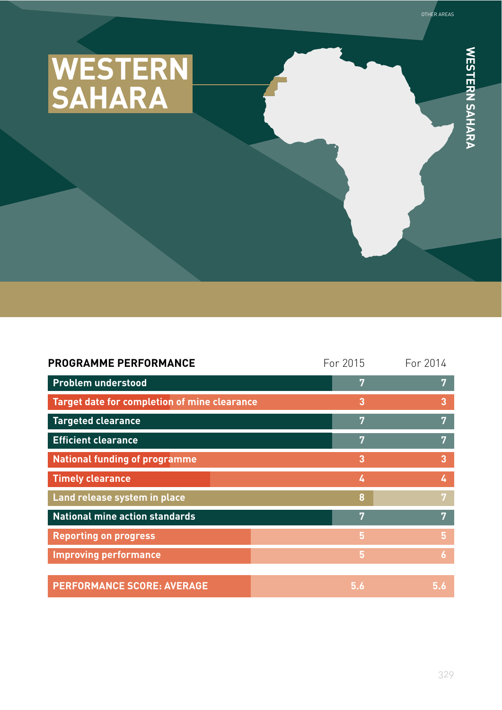

| PROGRAMME PERFORMANCE                        | For 2015 | For 2014       |
|----------------------------------------------|----------|----------------|
| <b>Problem understood</b>                    | 7        | 7              |
| Target date for completion of mine clearance | 3        | 3              |
| <b>Targeted clearance</b>                    | 7        | 7              |
| <b>Efficient clearance</b>                   | 7        | 7              |
| <b>National funding of programme</b>         | 3        | 3              |
| <b>Timely clearance</b>                      | 4        | 4              |
| Land release system in place                 | 8        | 7              |
| <b>National mine action standards</b>        | 7        | 7              |
| <b>Reporting on progress</b>                 | 5        | $5\phantom{.}$ |
| <b>Improving performance</b>                 | 5        | $\overline{6}$ |
|                                              |          |                |
| <b>PERFORMANCE SCORE: AVERAGE</b>            | 5.6      | 5.6            |

**WESTERN SAHARA**

WESTERN SAHARA

OTHER AREAS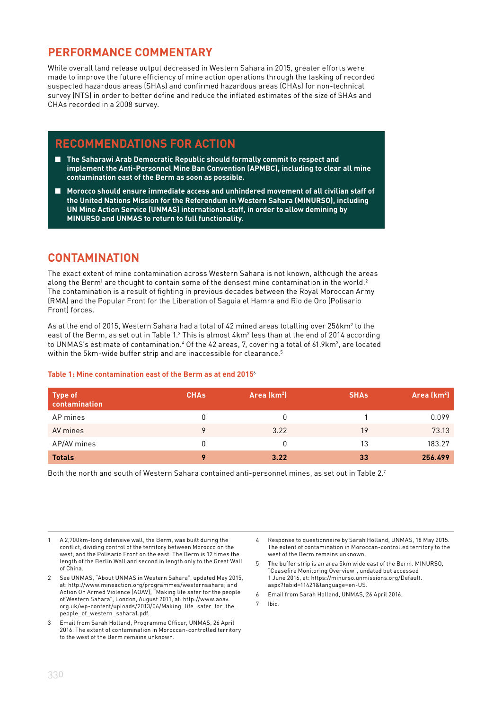### **PERFORMANCE COMMENTARY**

While overall land release output decreased in Western Sahara in 2015, greater efforts were made to improve the future efficiency of mine action operations through the tasking of recorded suspected hazardous areas (SHAs) and confirmed hazardous areas (CHAs) for non-technical survey (NTS) in order to better define and reduce the inflated estimates of the size of SHAs and CHAs recorded in a 2008 survey.

### **RECOMMENDATIONS FOR ACTION**

- The Saharawi Arab Democratic Republic should formally commit to respect and **implement the Anti-Personnel Mine Ban Convention (APMBC), including to clear all mine contamination east of the Berm as soon as possible.**
- Morocco should ensure immediate access and unhindered movement of all civilian staff of **the United Nations Mission for the Referendum in Western Sahara (MINURSO), including UN Mine Action Service (UNMAS) international staff, in order to allow demining by MINURSO and UNMAS to return to full functionality.**

### **CONTAMINATION**

The exact extent of mine contamination across Western Sahara is not known, although the areas along the Berm $^{\rm l}$  are thought to contain some of the densest mine contamination in the world. $^{\rm 2}$ The contamination is a result of fighting in previous decades between the Royal Moroccan Army (RMA) and the Popular Front for the Liberation of Saguia el Hamra and Rio de Oro (Polisario Front) forces.

As at the end of 2015, Western Sahara had a total of 42 mined areas totalling over 256km² to the east of the Berm, as set out in Table 1. $^3$  This is almost  $4$ km $^2$  less than at the end of 2014 according to UNMAS's estimate of contamination. $^4$  Of the 42 areas, 7, covering a total of 61.9km $^2$ , are located within the 5km-wide buffer strip and are inaccessible for clearance.<sup>5</sup>

#### **Table 1: Mine contamination east of the Berm as at end 2015**<sup>6</sup>

| Type of<br>  contamination | <b>CHA<sub>s</sub></b> | Area (km <sup>2</sup> ) | <b>SHAs</b> | Area (km <sup>2</sup> ) |
|----------------------------|------------------------|-------------------------|-------------|-------------------------|
| AP mines                   | 0                      |                         |             | 0.099                   |
| AV mines                   | 9                      | 3.22                    | 19          | 73.13                   |
| AP/AV mines                | 0                      |                         | 13          | 183.27                  |
| <b>Totals</b>              | 9                      | 3.22                    | 33          | 256.499                 |

Both the north and south of Western Sahara contained anti-personnel mines, as set out in Table 2.7

1 A 2,700km-long defensive wall, the Berm, was built during the conflict, dividing control of the territory between Morocco on the west, and the Polisario Front on the east. The Berm is 12 times the length of the Berlin Wall and second in length only to the Great Wall of China.

- 2 See UNMAS, "About UNMAS in Western Sahara", updated May 2015, at: http://www.mineaction.org/programmes/westernsahara; and Action On Armed Violence (AOAV), "Making life safer for the people of Western Sahara", London, August 2011, at: http://www.aoav. org.uk/wp-content/uploads/2013/06/Making\_life\_safer\_for\_the\_ people\_of\_western\_sahara1.pdf.
- 3 Email from Sarah Holland, Programme Officer, UNMAS, 26 April 2016. The extent of contamination in Moroccan-controlled territory to the west of the Berm remains unknown.
- 4 Response to questionnaire by Sarah Holland, UNMAS, 18 May 2015. The extent of contamination in Moroccan-controlled territory to the west of the Berm remains unknown.
- 6 Email from Sarah Holland, UNMAS, 26 April 2016.
- 7 Ibid.

<sup>5</sup> The buffer strip is an area 5km wide east of the Berm. MINURSO, "Ceasefire Monitoring Overview", undated but accessed 1 June 2016, at: https://minurso.unmissions.org/Default. aspx?tabid=11421&language=en-US.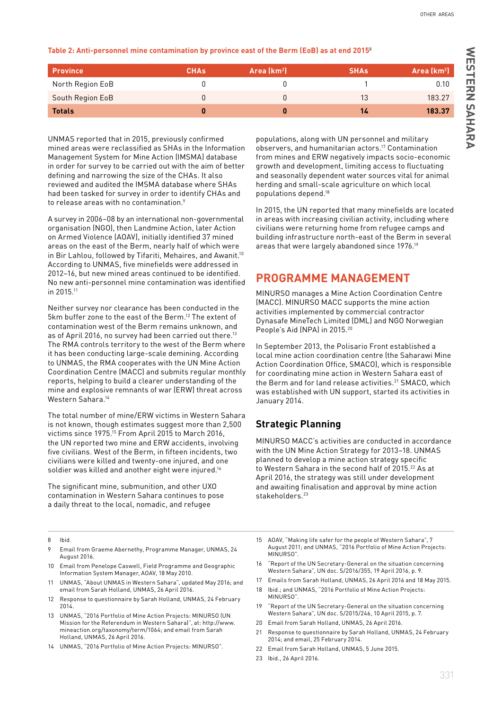OTHER AREAS

| <b>Province</b>  | <b>CHA<sub>s</sub></b> | Area $(km2)$ | <b>SHAs</b> | Area (km <sup>2</sup> ) |
|------------------|------------------------|--------------|-------------|-------------------------|
| North Region EoB |                        |              |             | 0.10                    |
| South Region EoB |                        |              | 13          | 183.27                  |
| <b>Totals</b>    |                        |              | 14          | 183.37                  |

UNMAS reported that in 2015, previously confirmed mined areas were reclassified as SHAs in the Information Management System for Mine Action (IMSMA) database in order for survey to be carried out with the aim of better defining and narrowing the size of the CHAs. It also reviewed and audited the IMSMA database where SHAs had been tasked for survey in order to identify CHAs and to release areas with no contamination.<sup>9</sup>

A survey in 2006–08 by an international non-governmental organisation (NGO), then Landmine Action, later Action on Armed Violence (AOAV), initially identified 37 mined areas on the east of the Berm, nearly half of which were in Bir Lahlou, followed by Tifariti, Mehaires, and Awanit.<sup>10</sup> According to UNMAS, five minefields were addressed in 2012–16, but new mined areas continued to be identified. No new anti-personnel mine contamination was identified in 2015.11

Neither survey nor clearance has been conducted in the 5km buffer zone to the east of the Berm.12 The extent of contamination west of the Berm remains unknown, and as of April 2016, no survey had been carried out there.<sup>13</sup> The RMA controls territory to the west of the Berm where it has been conducting large-scale demining. According to UNMAS, the RMA cooperates with the UN Mine Action Coordination Centre (MACC) and submits regular monthly reports, helping to build a clearer understanding of the mine and explosive remnants of war (ERW) threat across Western Sahara.14

The total number of mine/ERW victims in Western Sahara is not known, though estimates suggest more than 2,500 victims since 1975.15 From April 2015 to March 2016, the UN reported two mine and ERW accidents, involving five civilians. West of the Berm, in fifteen incidents, two civilians were killed and twenty-one injured, and one soldier was killed and another eight were injured.<sup>16</sup>

The significant mine, submunition, and other UXO contamination in Western Sahara continues to pose a daily threat to the local, nomadic, and refugee

populations, along with UN personnel and military observers, and humanitarian actors.17 Contamination from mines and ERW negatively impacts socio-economic growth and development, limiting access to fluctuating and seasonally dependent water sources vital for animal herding and small-scale agriculture on which local populations depend.18

In 2015, the UN reported that many minefields are located in areas with increasing civilian activity, including where civilians were returning home from refugee camps and building infrastructure north-east of the Berm in several areas that were largely abandoned since 1976.19

## **PROGRAMME MANAGEMENT**

MINURSO manages a Mine Action Coordination Centre (MACC). MINURSO MACC supports the mine action activities implemented by commercial contractor Dynasafe MineTech Limited (DML) and NGO Norwegian People's Aid (NPA) in 2015.<sup>20</sup>

In September 2013, the Polisario Front established a local mine action coordination centre (the Saharawi Mine Action Coordination Office, SMACO), which is responsible for coordinating mine action in Western Sahara east of the Berm and for land release activities.<sup>21</sup> SMACO, which was established with UN support, started its activities in January 2014.

## **Strategic Planning**

MINURSO MACC's activities are conducted in accordance with the UN Mine Action Strategy for 2013–18. UNMAS planned to develop a mine action strategy specific to Western Sahara in the second half of 2015.<sup>22</sup> As at April 2016, the strategy was still under development and awaiting finalisation and approval by mine action stakeholders.<sup>23</sup>

8 Ibid.

- 9 Email from Graeme Abernethy, Programme Manager, UNMAS, 24 August 2016.
- 10 Email from Penelope Caswell, Field Programme and Geographic Information System Manager, AOAV, 18 May 2010.
- 11 UNMAS, "About UNMAS in Western Sahara", updated May 2016; and email from Sarah Holland, UNMAS, 26 April 2016.
- 12 Response to questionnaire by Sarah Holland, UNMAS, 24 February 2014.
- 13 UNMAS, "2016 Portfolio of Mine Action Projects: MINURSO (UN Mission for the Referendum in Western Sahara)", at: http://www. mineaction.org/taxonomy/term/1064; and email from Sarah Holland, UNMAS, 26 April 2016.
- 14 UNMAS, "2016 Portfolio of Mine Action Projects: MINURSO".
- 15 AOAV, "Making life safer for the people of Western Sahara", 7 August 2011; and UNMAS, "2016 Portfolio of Mine Action Projects: MINURSO".
- 16 "Report of the UN Secretary-General on the situation concerning Western Sahara", UN doc. S/2016/355, 19 April 2016, p. 9.
- 17 Emails from Sarah Holland, UNMAS, 26 April 2016 and 18 May 2015.
- 18 Ibid.; and UNMAS, "2016 Portfolio of Mine Action Projects: MINURSO".
- 19 "Report of the UN Secretary-General on the situation concerning Western Sahara", UN doc. S/2015/246, 10 April 2015, p. 7.
- 20 Email from Sarah Holland, UNMAS, 26 April 2016.
- 21 Response to questionnaire by Sarah Holland, UNMAS, 24 February 2014; and email, 25 February 2014.
- 22 Email from Sarah Holland, UNMAS, 5 June 2015.
- 23 Ibid., 26 April 2016.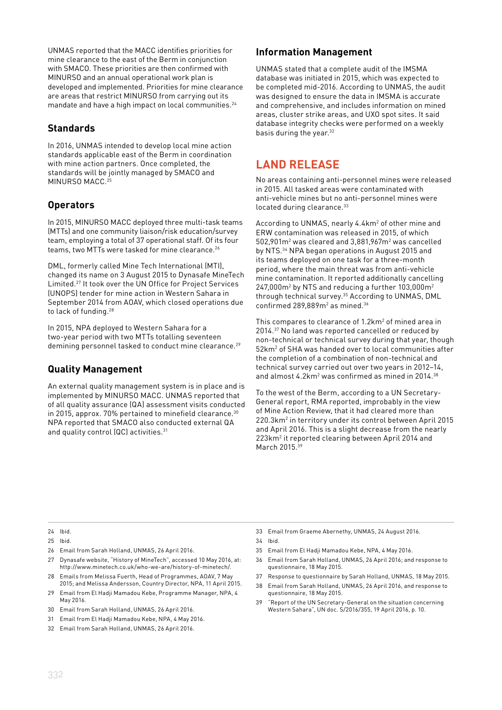UNMAS reported that the MACC identifies priorities for mine clearance to the east of the Berm in conjunction with SMACO. These priorities are then confirmed with MINURSO and an annual operational work plan is developed and implemented. Priorities for mine clearance are areas that restrict MINURSO from carrying out its mandate and have a high impact on local communities.<sup>24</sup>

#### **Standards**

In 2016, UNMAS intended to develop local mine action standards applicable east of the Berm in coordination with mine action partners. Once completed, the standards will be jointly managed by SMACO and MINURSO MACC.25

### **Operators**

In 2015, MINURSO MACC deployed three multi-task teams (MTTs) and one community liaison/risk education/survey team, employing a total of 37 operational staff. Of its four teams, two MTTs were tasked for mine clearance.<sup>26</sup>

DML, formerly called Mine Tech International (MTI), changed its name on 3 August 2015 to Dynasafe MineTech Limited.27 It took over the UN Office for Project Services (UNOPS) tender for mine action in Western Sahara in September 2014 from AOAV, which closed operations due to lack of funding.28

In 2015, NPA deployed to Western Sahara for a two-year period with two MTTs totalling seventeen demining personnel tasked to conduct mine clearance.<sup>29</sup>

#### **Quality Management**

An external quality management system is in place and is implemented by MINURSO MACC. UNMAS reported that of all quality assurance (QA) assessment visits conducted in 2015, approx. 70% pertained to minefield clearance.<sup>30</sup> NPA reported that SMACO also conducted external QA and quality control (QC) activities.<sup>31</sup>

#### **Information Management**

UNMAS stated that a complete audit of the IMSMA database was initiated in 2015, which was expected to be completed mid-2016. According to UNMAS, the audit was designed to ensure the data in IMSMA is accurate and comprehensive, and includes information on mined areas, cluster strike areas, and UXO spot sites. It said database integrity checks were performed on a weekly basis during the year.<sup>32</sup>

# **LAND RELEASE**

No areas containing anti-personnel mines were released in 2015. All tasked areas were contaminated with anti-vehicle mines but no anti-personnel mines were located during clearance. 33

According to UNMAS, nearly 4.4km<sup>2</sup> of other mine and ERW contamination was released in 2015, of which  $502,901$ m<sup>2</sup> was cleared and  $3,881,967$ m<sup>2</sup> was cancelled by NTS.34 NPA began operations in August 2015 and its teams deployed on one task for a three-month period, where the main threat was from anti-vehicle mine contamination. It reported additionally cancelling  $247,000$ m<sup>2</sup> by NTS and reducing a further 103,000m<sup>2</sup> through technical survey.35 According to UNMAS, DML confirmed  $289,889$ m<sup>2</sup> as mined.<sup>36</sup>

This compares to clearance of 1.2 $km<sup>2</sup>$  of mined area in 2014.37 No land was reported cancelled or reduced by non-technical or technical survey during that year, though 52km2 of SHA was handed over to local communities after the completion of a combination of non-technical and technical survey carried out over two years in 2012–14, and almost  $4.2$ km<sup>2</sup> was confirmed as mined in 2014. $38$ 

To the west of the Berm, according to a UN Secretary-General report, RMA reported, improbably in the view of Mine Action Review, that it had cleared more than 220.3km2 in territory under its control between April 2015 and April 2016. This is a slight decrease from the nearly 223km2 it reported clearing between April 2014 and March 2015.<sup>39</sup>

24 Ibid.

- 25 Ibid.
- 26 Email from Sarah Holland, UNMAS, 26 April 2016.
- 27 Dynasafe website, "History of MineTech", accessed 10 May 2016, at: http://www.minetech.co.uk/who-we-are/history-of-minetech/.
- 28 Emails from Melissa Fuerth, Head of Programmes, AOAV, 7 May 2015; and Melissa Andersson, Country Director, NPA, 11 April 2015.
- 29 Email from El Hadji Mamadou Kebe, Programme Manager, NPA, 4 May 2016.
- 30 Email from Sarah Holland, UNMAS, 26 April 2016.
- 31 Email from El Hadji Mamadou Kebe, NPA, 4 May 2016.
- 32 Email from Sarah Holland, UNMAS, 26 April 2016.
- 33 Email from Graeme Abernethy, UNMAS, 24 August 2016.
- 34 Ibid.
- 35 Email from El Hadji Mamadou Kebe, NPA, 4 May 2016.
- 36 Email from Sarah Holland, UNMAS, 26 April 2016; and response to questionnaire, 18 May 2015.
- 37 Response to questionnaire by Sarah Holland, UNMAS, 18 May 2015.
- 38 Email from Sarah Holland, UNMAS, 26 April 2016, and response to questionnaire, 18 May 2015.
- 39 "Report of the UN Secretary-General on the situation concerning Western Sahara", UN doc. S/2016/355, 19 April 2016, p. 10.